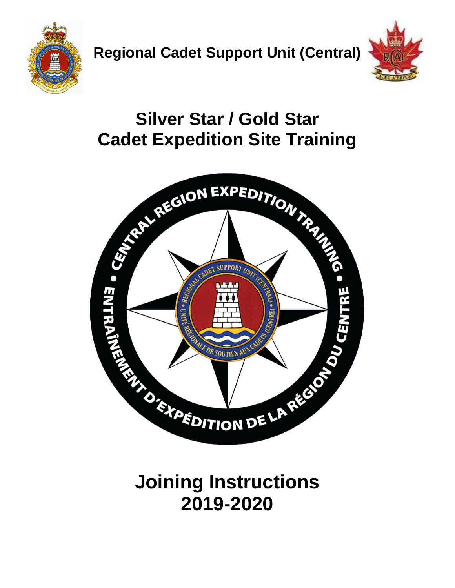



## **Silver Star / Gold Star Cadet Expedition Site Training**



# **Joining Instructions 2019-2020**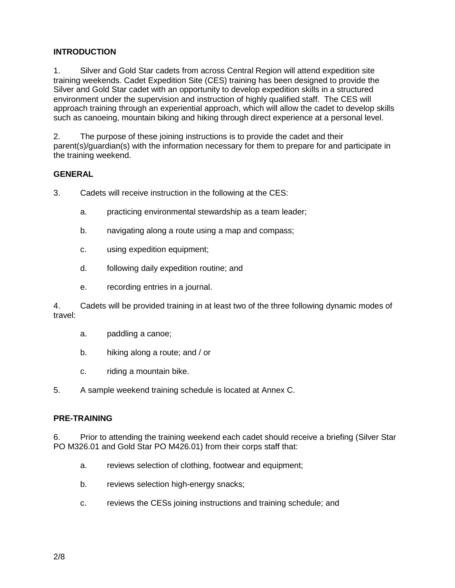## **INTRODUCTION**

1. Silver and Gold Star cadets from across Central Region will attend expedition site training weekends. Cadet Expedition Site (CES) training has been designed to provide the Silver and Gold Star cadet with an opportunity to develop expedition skills in a structured environment under the supervision and instruction of highly qualified staff. The CES will approach training through an experiential approach, which will allow the cadet to develop skills such as canoeing, mountain biking and hiking through direct experience at a personal level.

2. The purpose of these joining instructions is to provide the cadet and their parent(s)/guardian(s) with the information necessary for them to prepare for and participate in the training weekend.

#### **GENERAL**

- 3. Cadets will receive instruction in the following at the CES:
	- a. practicing environmental stewardship as a team leader;
	- b. navigating along a route using a map and compass;
	- c. using expedition equipment;
	- d. following daily expedition routine; and
	- e. recording entries in a journal.

4. Cadets will be provided training in at least two of the three following dynamic modes of travel:

- a. paddling a canoe;
- b. hiking along a route; and / or
- c. riding a mountain bike.

5. A sample weekend training schedule is located at Annex C.

#### **PRE-TRAINING**

6. Prior to attending the training weekend each cadet should receive a briefing (Silver Star PO M326.01 and Gold Star PO M426.01) from their corps staff that:

- a. reviews selection of clothing, footwear and equipment;
- b. reviews selection high-energy snacks;
- c. reviews the CESs joining instructions and training schedule; and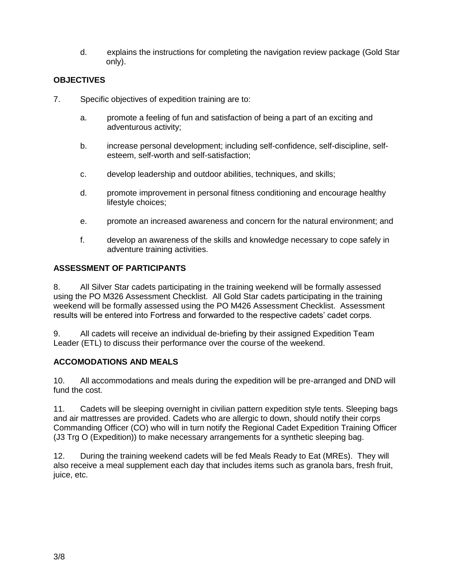d. explains the instructions for completing the navigation review package (Gold Star only).

## **OBJECTIVES**

- 7. Specific objectives of expedition training are to:
	- a. promote a feeling of fun and satisfaction of being a part of an exciting and adventurous activity;
	- b. increase personal development; including self-confidence, self-discipline, selfesteem, self-worth and self-satisfaction;
	- c. develop leadership and outdoor abilities, techniques, and skills;
	- d. promote improvement in personal fitness conditioning and encourage healthy lifestyle choices;
	- e. promote an increased awareness and concern for the natural environment; and
	- f. develop an awareness of the skills and knowledge necessary to cope safely in adventure training activities.

## **ASSESSMENT OF PARTICIPANTS**

8. All Silver Star cadets participating in the training weekend will be formally assessed using the PO M326 Assessment Checklist. All Gold Star cadets participating in the training weekend will be formally assessed using the PO M426 Assessment Checklist. Assessment results will be entered into Fortress and forwarded to the respective cadets' cadet corps.

9. All cadets will receive an individual de-briefing by their assigned Expedition Team Leader (ETL) to discuss their performance over the course of the weekend.

## **ACCOMODATIONS AND MEALS**

10. All accommodations and meals during the expedition will be pre-arranged and DND will fund the cost.

11. Cadets will be sleeping overnight in civilian pattern expedition style tents. Sleeping bags and air mattresses are provided. Cadets who are allergic to down, should notify their corps Commanding Officer (CO) who will in turn notify the Regional Cadet Expedition Training Officer (J3 Trg O (Expedition)) to make necessary arrangements for a synthetic sleeping bag.

12. During the training weekend cadets will be fed Meals Ready to Eat (MREs). They will also receive a meal supplement each day that includes items such as granola bars, fresh fruit, juice, etc.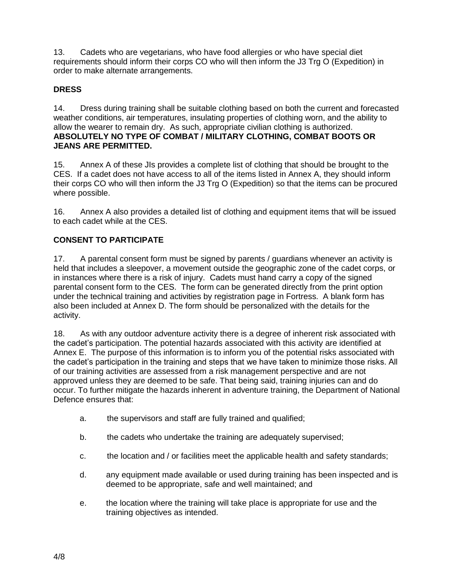13. Cadets who are vegetarians, who have food allergies or who have special diet requirements should inform their corps CO who will then inform the J3 Trg O (Expedition) in order to make alternate arrangements.

## **DRESS**

14. Dress during training shall be suitable clothing based on both the current and forecasted weather conditions, air temperatures, insulating properties of clothing worn, and the ability to allow the wearer to remain dry. As such, appropriate civilian clothing is authorized. **ABSOLUTELY NO TYPE OF COMBAT / MILITARY CLOTHING, COMBAT BOOTS OR JEANS ARE PERMITTED.**

15. Annex A of these JIs provides a complete list of clothing that should be brought to the CES. If a cadet does not have access to all of the items listed in Annex A, they should inform their corps CO who will then inform the J3 Trg O (Expedition) so that the items can be procured where possible.

16. Annex A also provides a detailed list of clothing and equipment items that will be issued to each cadet while at the CES.

## **CONSENT TO PARTICIPATE**

17. A parental consent form must be signed by parents / guardians whenever an activity is held that includes a sleepover, a movement outside the geographic zone of the cadet corps, or in instances where there is a risk of injury. Cadets must hand carry a copy of the signed parental consent form to the CES. The form can be generated directly from the print option under the technical training and activities by registration page in Fortress. A blank form has also been included at Annex D. The form should be personalized with the details for the activity.

18. As with any outdoor adventure activity there is a degree of inherent risk associated with the cadet's participation. The potential hazards associated with this activity are identified at Annex E. The purpose of this information is to inform you of the potential risks associated with the cadet's participation in the training and steps that we have taken to minimize those risks. All of our training activities are assessed from a risk management perspective and are not approved unless they are deemed to be safe. That being said, training injuries can and do occur. To further mitigate the hazards inherent in adventure training, the Department of National Defence ensures that:

- a. the supervisors and staff are fully trained and qualified;
- b. the cadets who undertake the training are adequately supervised;
- c. the location and / or facilities meet the applicable health and safety standards;
- d. any equipment made available or used during training has been inspected and is deemed to be appropriate, safe and well maintained; and
- e. the location where the training will take place is appropriate for use and the training objectives as intended.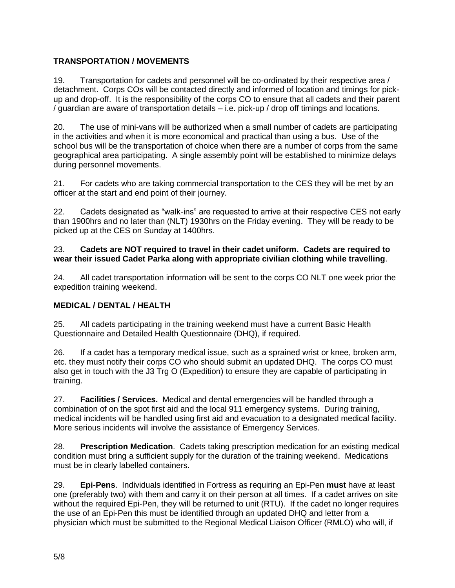## **TRANSPORTATION / MOVEMENTS**

19. Transportation for cadets and personnel will be co-ordinated by their respective area / detachment. Corps COs will be contacted directly and informed of location and timings for pickup and drop-off. It is the responsibility of the corps CO to ensure that all cadets and their parent / guardian are aware of transportation details – i.e. pick-up / drop off timings and locations.

20. The use of mini-vans will be authorized when a small number of cadets are participating in the activities and when it is more economical and practical than using a bus. Use of the school bus will be the transportation of choice when there are a number of corps from the same geographical area participating. A single assembly point will be established to minimize delays during personnel movements.

21. For cadets who are taking commercial transportation to the CES they will be met by an officer at the start and end point of their journey.

22. Cadets designated as "walk-ins" are requested to arrive at their respective CES not early than 1900hrs and no later than (NLT) 1930hrs on the Friday evening. They will be ready to be picked up at the CES on Sunday at 1400hrs.

#### 23. **Cadets are NOT required to travel in their cadet uniform. Cadets are required to wear their issued Cadet Parka along with appropriate civilian clothing while travelling**.

24. All cadet transportation information will be sent to the corps CO NLT one week prior the expedition training weekend.

## **MEDICAL / DENTAL / HEALTH**

25. All cadets participating in the training weekend must have a current Basic Health Questionnaire and Detailed Health Questionnaire (DHQ), if required.

26. If a cadet has a temporary medical issue, such as a sprained wrist or knee, broken arm, etc. they must notify their corps CO who should submit an updated DHQ. The corps CO must also get in touch with the J3 Trg O (Expedition) to ensure they are capable of participating in training.

27. **Facilities / Services.** Medical and dental emergencies will be handled through a combination of on the spot first aid and the local 911 emergency systems. During training, medical incidents will be handled using first aid and evacuation to a designated medical facility. More serious incidents will involve the assistance of Emergency Services.

28. **Prescription Medication**. Cadets taking prescription medication for an existing medical condition must bring a sufficient supply for the duration of the training weekend. Medications must be in clearly labelled containers.

29. **Epi-Pens**. Individuals identified in Fortress as requiring an Epi-Pen **must** have at least one (preferably two) with them and carry it on their person at all times. If a cadet arrives on site without the required Epi-Pen, they will be returned to unit (RTU). If the cadet no longer requires the use of an Epi-Pen this must be identified through an updated DHQ and letter from a physician which must be submitted to the Regional Medical Liaison Officer (RMLO) who will, if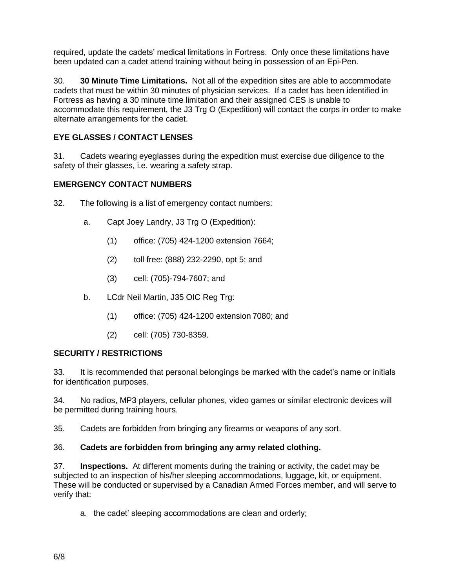required, update the cadets' medical limitations in Fortress. Only once these limitations have been updated can a cadet attend training without being in possession of an Epi-Pen.

30. **30 Minute Time Limitations.** Not all of the expedition sites are able to accommodate cadets that must be within 30 minutes of physician services. If a cadet has been identified in Fortress as having a 30 minute time limitation and their assigned CES is unable to accommodate this requirement, the J3 Trg O (Expedition) will contact the corps in order to make alternate arrangements for the cadet.

## **EYE GLASSES / CONTACT LENSES**

31. Cadets wearing eyeglasses during the expedition must exercise due diligence to the safety of their glasses, i.e. wearing a safety strap.

## **EMERGENCY CONTACT NUMBERS**

- 32. The following is a list of emergency contact numbers:
	- a. Capt Joey Landry, J3 Trg O (Expedition):
		- (1) office: (705) 424-1200 extension 7664;
		- (2) toll free: (888) 232-2290, opt 5; and
		- (3) cell: (705)-794-7607; and
	- b. LCdr Neil Martin, J35 OIC Reg Trg:
		- (1) office: (705) 424-1200 extension 7080; and
		- (2) cell: (705) 730-8359.

## **SECURITY / RESTRICTIONS**

33. It is recommended that personal belongings be marked with the cadet's name or initials for identification purposes.

34. No radios, MP3 players, cellular phones, video games or similar electronic devices will be permitted during training hours.

35. Cadets are forbidden from bringing any firearms or weapons of any sort.

#### 36. **Cadets are forbidden from bringing any army related clothing.**

37. **Inspections.** At different moments during the training or activity, the cadet may be subjected to an inspection of his/her sleeping accommodations, luggage, kit, or equipment. These will be conducted or supervised by a Canadian Armed Forces member, and will serve to verify that:

a. the cadet' sleeping accommodations are clean and orderly;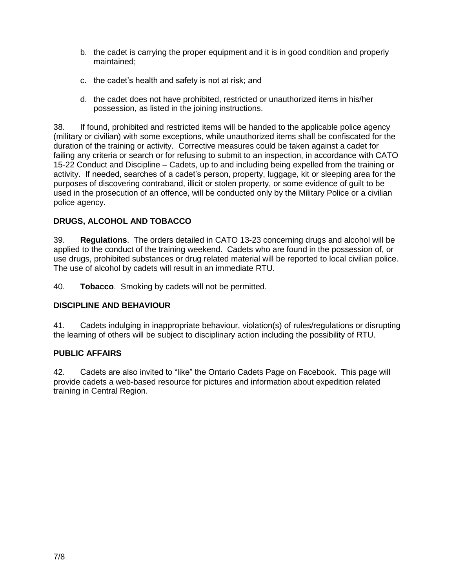- b. the cadet is carrying the proper equipment and it is in good condition and properly maintained;
- c. the cadet's health and safety is not at risk; and
- d. the cadet does not have prohibited, restricted or unauthorized items in his/her possession, as listed in the joining instructions.

38. If found, prohibited and restricted items will be handed to the applicable police agency (military or civilian) with some exceptions, while unauthorized items shall be confiscated for the duration of the training or activity. Corrective measures could be taken against a cadet for failing any criteria or search or for refusing to submit to an inspection, in accordance with CATO 15-22 Conduct and Discipline – Cadets, up to and including being expelled from the training or activity. If needed, searches of a cadet's person, property, luggage, kit or sleeping area for the purposes of discovering contraband, illicit or stolen property, or some evidence of guilt to be used in the prosecution of an offence, will be conducted only by the Military Police or a civilian police agency.

#### **DRUGS, ALCOHOL AND TOBACCO**

39. **Regulations**. The orders detailed in CATO 13-23 concerning drugs and alcohol will be applied to the conduct of the training weekend. Cadets who are found in the possession of, or use drugs, prohibited substances or drug related material will be reported to local civilian police. The use of alcohol by cadets will result in an immediate RTU.

40. **Tobacco**. Smoking by cadets will not be permitted.

#### **DISCIPLINE AND BEHAVIOUR**

41. Cadets indulging in inappropriate behaviour, violation(s) of rules/regulations or disrupting the learning of others will be subject to disciplinary action including the possibility of RTU.

#### **PUBLIC AFFAIRS**

42. Cadets are also invited to "like" the Ontario Cadets Page on Facebook. This page will provide cadets a web-based resource for pictures and information about expedition related training in Central Region.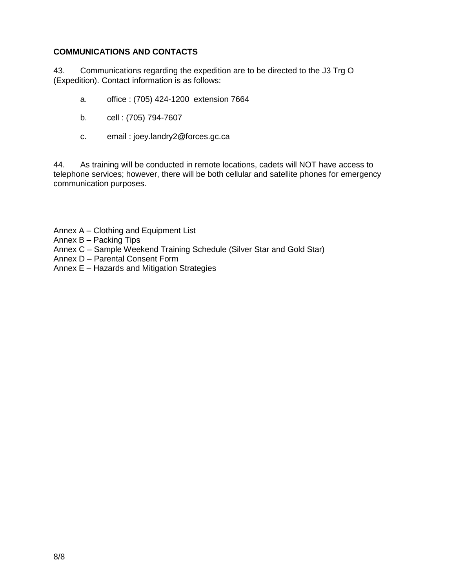## **COMMUNICATIONS AND CONTACTS**

43. Communications regarding the expedition are to be directed to the J3 Trg O (Expedition). Contact information is as follows:

- a. office : (705) 424-1200 extension 7664
- b. cell : (705) 794-7607
- c. email : joey.landry2@forces.gc.ca

44. As training will be conducted in remote locations, cadets will NOT have access to telephone services; however, there will be both cellular and satellite phones for emergency communication purposes.

- Annex A Clothing and Equipment List
- Annex B Packing Tips
- Annex C Sample Weekend Training Schedule (Silver Star and Gold Star)
- Annex D Parental Consent Form
- Annex E Hazards and Mitigation Strategies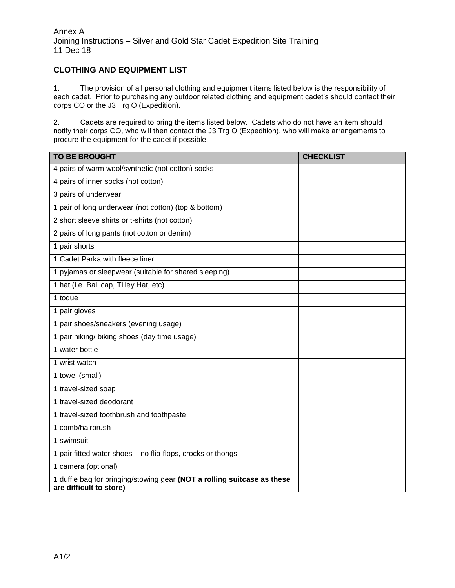#### **CLOTHING AND EQUIPMENT LIST**

1. The provision of all personal clothing and equipment items listed below is the responsibility of each cadet. Prior to purchasing any outdoor related clothing and equipment cadet's should contact their corps CO or the J3 Trg O (Expedition).

2. Cadets are required to bring the items listed below. Cadets who do not have an item should notify their corps CO, who will then contact the J3 Trg O (Expedition), who will make arrangements to procure the equipment for the cadet if possible.

| <b>TO BE BROUGHT</b>                                                                               | <b>CHECKLIST</b> |
|----------------------------------------------------------------------------------------------------|------------------|
| 4 pairs of warm wool/synthetic (not cotton) socks                                                  |                  |
| 4 pairs of inner socks (not cotton)                                                                |                  |
| 3 pairs of underwear                                                                               |                  |
| 1 pair of long underwear (not cotton) (top & bottom)                                               |                  |
| 2 short sleeve shirts or t-shirts (not cotton)                                                     |                  |
| 2 pairs of long pants (not cotton or denim)                                                        |                  |
| 1 pair shorts                                                                                      |                  |
| 1 Cadet Parka with fleece liner                                                                    |                  |
| 1 pyjamas or sleepwear (suitable for shared sleeping)                                              |                  |
| 1 hat (i.e. Ball cap, Tilley Hat, etc)                                                             |                  |
| 1 toque                                                                                            |                  |
| 1 pair gloves                                                                                      |                  |
| 1 pair shoes/sneakers (evening usage)                                                              |                  |
| 1 pair hiking/ biking shoes (day time usage)                                                       |                  |
| 1 water bottle                                                                                     |                  |
| 1 wrist watch                                                                                      |                  |
| 1 towel (small)                                                                                    |                  |
| 1 travel-sized soap                                                                                |                  |
| 1 travel-sized deodorant                                                                           |                  |
| 1 travel-sized toothbrush and toothpaste                                                           |                  |
| 1 comb/hairbrush                                                                                   |                  |
| 1 swimsuit                                                                                         |                  |
| 1 pair fitted water shoes - no flip-flops, crocks or thongs                                        |                  |
| 1 camera (optional)                                                                                |                  |
| 1 duffle bag for bringing/stowing gear (NOT a rolling suitcase as these<br>are difficult to store) |                  |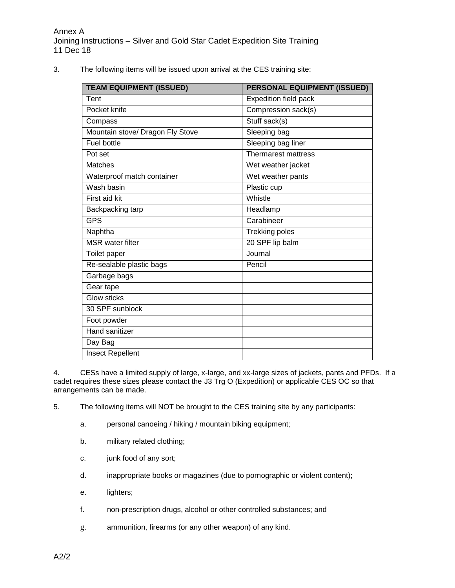3. The following items will be issued upon arrival at the CES training site:

| <b>TEAM EQUIPMENT (ISSUED)</b>   | <b>PERSONAL EQUIPMENT (ISSUED)</b> |
|----------------------------------|------------------------------------|
| Tent                             | <b>Expedition field pack</b>       |
| Pocket knife                     | Compression sack(s)                |
| Compass                          | Stuff sack(s)                      |
| Mountain stove/ Dragon Fly Stove | Sleeping bag                       |
| Fuel bottle                      | Sleeping bag liner                 |
| Pot set                          | Thermarest mattress                |
| <b>Matches</b>                   | Wet weather jacket                 |
| Waterproof match container       | Wet weather pants                  |
| Wash basin                       | Plastic cup                        |
| First aid kit                    | Whistle                            |
| Backpacking tarp                 | Headlamp                           |
| <b>GPS</b>                       | Carabineer                         |
| Naphtha                          | <b>Trekking poles</b>              |
| <b>MSR</b> water filter          | 20 SPF lip balm                    |
| Toilet paper                     | Journal                            |
| Re-sealable plastic bags         | Pencil                             |
| Garbage bags                     |                                    |
| Gear tape                        |                                    |
| <b>Glow sticks</b>               |                                    |
| 30 SPF sunblock                  |                                    |
| Foot powder                      |                                    |
| Hand sanitizer                   |                                    |
| Day Bag                          |                                    |
| Insect Repellent                 |                                    |

4. CESs have a limited supply of large, x-large, and xx-large sizes of jackets, pants and PFDs. If a cadet requires these sizes please contact the J3 Trg O (Expedition) or applicable CES OC so that arrangements can be made.

- 5. The following items will NOT be brought to the CES training site by any participants:
	- a. personal canoeing / hiking / mountain biking equipment;
	- b. military related clothing;
	- c. junk food of any sort;
	- d. inappropriate books or magazines (due to pornographic or violent content);
	- e. lighters;
	- f. non-prescription drugs, alcohol or other controlled substances; and
	- g. ammunition, firearms (or any other weapon) of any kind.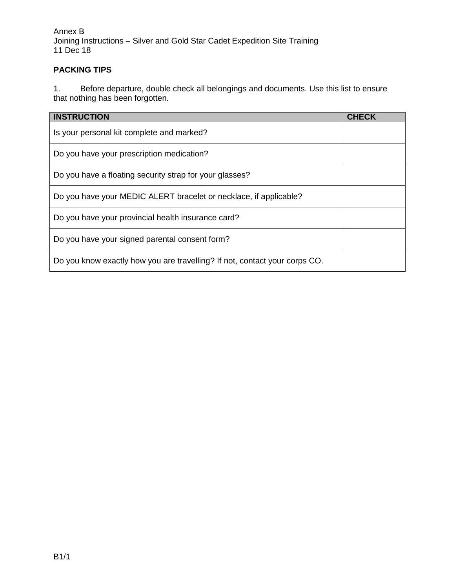Annex B Joining Instructions – Silver and Gold Star Cadet Expedition Site Training 11 Dec 18

## **PACKING TIPS**

1. Before departure, double check all belongings and documents. Use this list to ensure that nothing has been forgotten.

| <b>INSTRUCTION</b>                                                         | <b>CHECK</b> |
|----------------------------------------------------------------------------|--------------|
| Is your personal kit complete and marked?                                  |              |
| Do you have your prescription medication?                                  |              |
| Do you have a floating security strap for your glasses?                    |              |
| Do you have your MEDIC ALERT bracelet or necklace, if applicable?          |              |
| Do you have your provincial health insurance card?                         |              |
| Do you have your signed parental consent form?                             |              |
| Do you know exactly how you are travelling? If not, contact your corps CO. |              |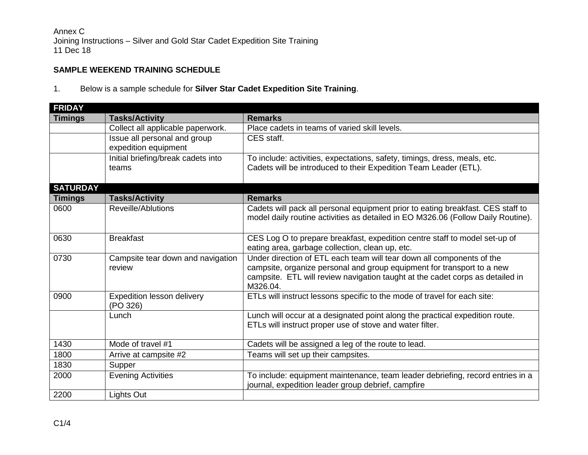Annex C Joining Instructions – Silver and Gold Star Cadet Expedition Site Training 11 Dec 18

## **SAMPLE WEEKEND TRAINING SCHEDULE**

1. Below is a sample schedule for **Silver Star Cadet Expedition Site Training**.

| <b>FRIDAY</b>   |                                        |                                                                                  |
|-----------------|----------------------------------------|----------------------------------------------------------------------------------|
| <b>Timings</b>  | <b>Tasks/Activity</b>                  | <b>Remarks</b>                                                                   |
|                 | Collect all applicable paperwork.      | Place cadets in teams of varied skill levels.                                    |
|                 | Issue all personal and group           | CES staff.                                                                       |
|                 | expedition equipment                   |                                                                                  |
|                 | Initial briefing/break cadets into     | To include: activities, expectations, safety, timings, dress, meals, etc.        |
|                 | teams                                  | Cadets will be introduced to their Expedition Team Leader (ETL).                 |
|                 |                                        |                                                                                  |
| <b>SATURDAY</b> |                                        |                                                                                  |
| <b>Timings</b>  | <b>Tasks/Activity</b>                  | <b>Remarks</b>                                                                   |
| 0600            | Reveille/Ablutions                     | Cadets will pack all personal equipment prior to eating breakfast. CES staff to  |
|                 |                                        | model daily routine activities as detailed in EO M326.06 (Follow Daily Routine). |
|                 |                                        |                                                                                  |
| 0630            | <b>Breakfast</b>                       | CES Log O to prepare breakfast, expedition centre staff to model set-up of       |
|                 |                                        | eating area, garbage collection, clean up, etc.                                  |
| 0730            | Campsite tear down and navigation      | Under direction of ETL each team will tear down all components of the            |
|                 | review                                 | campsite, organize personal and group equipment for transport to a new           |
|                 |                                        | campsite. ETL will review navigation taught at the cadet corps as detailed in    |
| 0900            |                                        | M326.04.                                                                         |
|                 | Expedition lesson delivery<br>(PO 326) | ETLs will instruct lessons specific to the mode of travel for each site:         |
|                 | Lunch                                  | Lunch will occur at a designated point along the practical expedition route.     |
|                 |                                        | ETLs will instruct proper use of stove and water filter.                         |
|                 |                                        |                                                                                  |
| 1430            | Mode of travel #1                      | Cadets will be assigned a leg of the route to lead.                              |
| 1800            | Arrive at campsite #2                  | Teams will set up their campsites.                                               |
| 1830            | Supper                                 |                                                                                  |
| 2000            | <b>Evening Activities</b>              | To include: equipment maintenance, team leader debriefing, record entries in a   |
|                 |                                        | journal, expedition leader group debrief, campfire                               |
| 2200            | Lights Out                             |                                                                                  |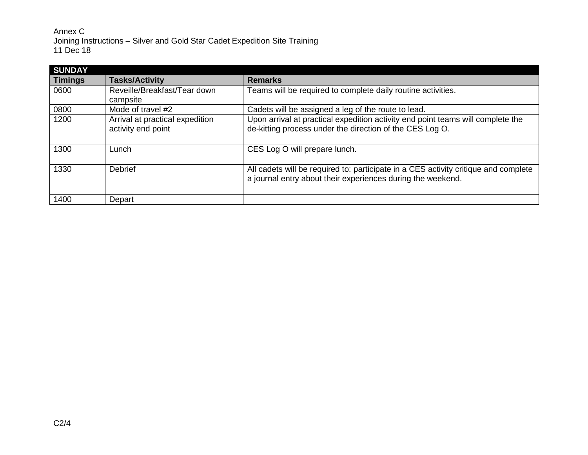Annex C Joining Instructions – Silver and Gold Star Cadet Expedition Site Training 11 Dec 18

| <b>SUNDAY</b>  |                                                       |                                                                                                                                                    |
|----------------|-------------------------------------------------------|----------------------------------------------------------------------------------------------------------------------------------------------------|
| <b>Timings</b> | <b>Tasks/Activity</b>                                 | <b>Remarks</b>                                                                                                                                     |
| 0600           | Reveille/Breakfast/Tear down<br>campsite              | Teams will be required to complete daily routine activities.                                                                                       |
| 0800           | Mode of travel #2                                     | Cadets will be assigned a leg of the route to lead.                                                                                                |
| 1200           | Arrival at practical expedition<br>activity end point | Upon arrival at practical expedition activity end point teams will complete the<br>de-kitting process under the direction of the CES Log O.        |
| 1300           | Lunch                                                 | CES Log O will prepare lunch.                                                                                                                      |
| 1330           | Debrief                                               | All cadets will be required to: participate in a CES activity critique and complete<br>a journal entry about their experiences during the weekend. |
| 1400           | Depart                                                |                                                                                                                                                    |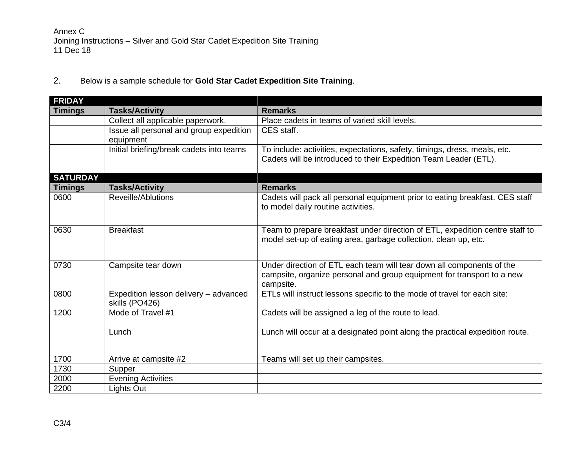2. Below is a sample schedule for **Gold Star Cadet Expedition Site Training**.

| <b>FRIDAY</b>   |                                                         |                                                                                                                                                              |
|-----------------|---------------------------------------------------------|--------------------------------------------------------------------------------------------------------------------------------------------------------------|
| <b>Timings</b>  | <b>Tasks/Activity</b>                                   | <b>Remarks</b>                                                                                                                                               |
|                 | Collect all applicable paperwork.                       | Place cadets in teams of varied skill levels.                                                                                                                |
|                 | Issue all personal and group expedition<br>equipment    | CES staff.                                                                                                                                                   |
|                 | Initial briefing/break cadets into teams                | To include: activities, expectations, safety, timings, dress, meals, etc.<br>Cadets will be introduced to their Expedition Team Leader (ETL).                |
| <b>SATURDAY</b> |                                                         |                                                                                                                                                              |
| <b>Timings</b>  | <b>Tasks/Activity</b>                                   | <b>Remarks</b>                                                                                                                                               |
| 0600            | Reveille/Ablutions                                      | Cadets will pack all personal equipment prior to eating breakfast. CES staff<br>to model daily routine activities.                                           |
| 0630            | <b>Breakfast</b>                                        | Team to prepare breakfast under direction of ETL, expedition centre staff to<br>model set-up of eating area, garbage collection, clean up, etc.              |
| 0730            | Campsite tear down                                      | Under direction of ETL each team will tear down all components of the<br>campsite, organize personal and group equipment for transport to a new<br>campsite. |
| 0800            | Expedition lesson delivery - advanced<br>skills (PO426) | ETLs will instruct lessons specific to the mode of travel for each site:                                                                                     |
| 1200            | Mode of Travel #1                                       | Cadets will be assigned a leg of the route to lead.                                                                                                          |
|                 | Lunch                                                   | Lunch will occur at a designated point along the practical expedition route.                                                                                 |
| 1700            | Arrive at campsite #2                                   | Teams will set up their campsites.                                                                                                                           |
| 1730            | Supper                                                  |                                                                                                                                                              |
| 2000            | <b>Evening Activities</b>                               |                                                                                                                                                              |
| 2200            | Lights Out                                              |                                                                                                                                                              |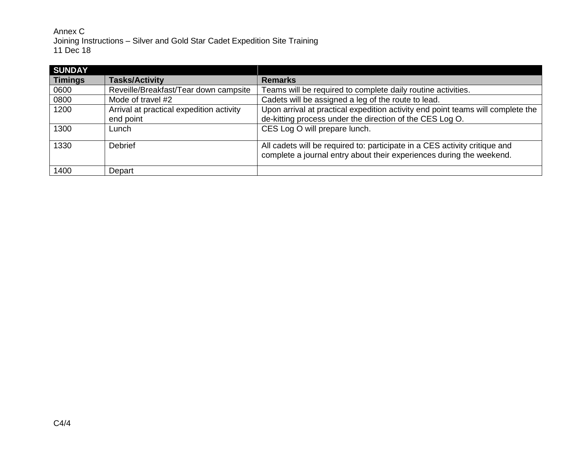Annex C Joining Instructions – Silver and Gold Star Cadet Expedition Site Training 11 Dec 18

| <b>SUNDAY</b>  |                                                       |                                                                                                                                                    |
|----------------|-------------------------------------------------------|----------------------------------------------------------------------------------------------------------------------------------------------------|
| <b>Timings</b> | <b>Tasks/Activity</b>                                 | <b>Remarks</b>                                                                                                                                     |
| 0600           | Reveille/Breakfast/Tear down campsite                 | Teams will be required to complete daily routine activities.                                                                                       |
| 0800           | Mode of travel #2                                     | Cadets will be assigned a leg of the route to lead.                                                                                                |
| 1200           | Arrival at practical expedition activity<br>end point | Upon arrival at practical expedition activity end point teams will complete the<br>de-kitting process under the direction of the CES Log O.        |
| 1300           | Lunch                                                 | CES Log O will prepare lunch.                                                                                                                      |
| 1330           | Debrief                                               | All cadets will be required to: participate in a CES activity critique and<br>complete a journal entry about their experiences during the weekend. |
| 1400           | Depart                                                |                                                                                                                                                    |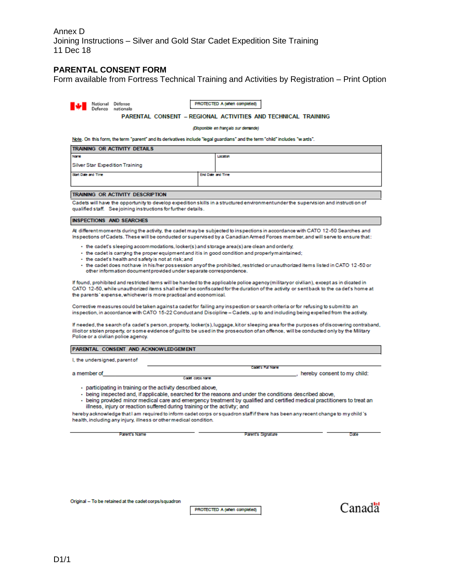Annex D Joining Instructions – Silver and Gold Star Cadet Expedition Site Training 11 Dec 18

#### **PARENTAL CONSENT FORM**

Form available from Fortress Technical Training and Activities by Registration – Print Option

| Defenco                                                                                                                                                                                                                                                                                                                                                                                                                                                                                                                                                                                                       |                                                                                                                                                                                                                                                                                                                                                                                                                                                                 |  | National Défense<br>nationale |  |  |  |  |  | PROTECTED A (when completed)                                                                                                                                                                                                                                     |  |                             |
|---------------------------------------------------------------------------------------------------------------------------------------------------------------------------------------------------------------------------------------------------------------------------------------------------------------------------------------------------------------------------------------------------------------------------------------------------------------------------------------------------------------------------------------------------------------------------------------------------------------|-----------------------------------------------------------------------------------------------------------------------------------------------------------------------------------------------------------------------------------------------------------------------------------------------------------------------------------------------------------------------------------------------------------------------------------------------------------------|--|-------------------------------|--|--|--|--|--|------------------------------------------------------------------------------------------------------------------------------------------------------------------------------------------------------------------------------------------------------------------|--|-----------------------------|
|                                                                                                                                                                                                                                                                                                                                                                                                                                                                                                                                                                                                               |                                                                                                                                                                                                                                                                                                                                                                                                                                                                 |  |                               |  |  |  |  |  | <b>PARENTAL CONSENT - REGIONAL ACTIVITIES AND TECHNICAL TRAINING</b>                                                                                                                                                                                             |  |                             |
|                                                                                                                                                                                                                                                                                                                                                                                                                                                                                                                                                                                                               | (Disponible en français sur demande)                                                                                                                                                                                                                                                                                                                                                                                                                            |  |                               |  |  |  |  |  |                                                                                                                                                                                                                                                                  |  |                             |
|                                                                                                                                                                                                                                                                                                                                                                                                                                                                                                                                                                                                               |                                                                                                                                                                                                                                                                                                                                                                                                                                                                 |  |                               |  |  |  |  |  | Note. On this form, the term "parent" and its derivatives include "legal guardians" and the term "child" includes "wards".                                                                                                                                       |  |                             |
| TRAINING OR ACTIVITY DETAILS                                                                                                                                                                                                                                                                                                                                                                                                                                                                                                                                                                                  |                                                                                                                                                                                                                                                                                                                                                                                                                                                                 |  |                               |  |  |  |  |  |                                                                                                                                                                                                                                                                  |  |                             |
| Name                                                                                                                                                                                                                                                                                                                                                                                                                                                                                                                                                                                                          | Location                                                                                                                                                                                                                                                                                                                                                                                                                                                        |  |                               |  |  |  |  |  |                                                                                                                                                                                                                                                                  |  |                             |
| <b>Silver Star Expedition Training</b><br>Start Date and Time                                                                                                                                                                                                                                                                                                                                                                                                                                                                                                                                                 |                                                                                                                                                                                                                                                                                                                                                                                                                                                                 |  |                               |  |  |  |  |  | End Date and Time                                                                                                                                                                                                                                                |  |                             |
|                                                                                                                                                                                                                                                                                                                                                                                                                                                                                                                                                                                                               |                                                                                                                                                                                                                                                                                                                                                                                                                                                                 |  |                               |  |  |  |  |  |                                                                                                                                                                                                                                                                  |  |                             |
| TRAINING OR ACTIVITY DESCRIPTION                                                                                                                                                                                                                                                                                                                                                                                                                                                                                                                                                                              |                                                                                                                                                                                                                                                                                                                                                                                                                                                                 |  |                               |  |  |  |  |  |                                                                                                                                                                                                                                                                  |  |                             |
| qualified staff. See joining instructions for further details.                                                                                                                                                                                                                                                                                                                                                                                                                                                                                                                                                |                                                                                                                                                                                                                                                                                                                                                                                                                                                                 |  |                               |  |  |  |  |  | Cadets will have the opportunity to develop expedition skills in a structured environment under the supervision and instruction of                                                                                                                               |  |                             |
| <b>INSPECTIONS AND SEARCHES</b>                                                                                                                                                                                                                                                                                                                                                                                                                                                                                                                                                                               |                                                                                                                                                                                                                                                                                                                                                                                                                                                                 |  |                               |  |  |  |  |  |                                                                                                                                                                                                                                                                  |  |                             |
|                                                                                                                                                                                                                                                                                                                                                                                                                                                                                                                                                                                                               |                                                                                                                                                                                                                                                                                                                                                                                                                                                                 |  |                               |  |  |  |  |  | At different moments during the activity, the cadet may be subjected to inspections in accordance with CATO 12-50 Searches and<br>Inspections of Cadets. These will be conducted or supervised by a Canadian Armed Forces member, and will serve to ensure that: |  |                             |
|                                                                                                                                                                                                                                                                                                                                                                                                                                                                                                                                                                                                               | • the cadet's sleeping accommodations, locker(s) and storage area(s) are clean and orderly,<br>- the cadet is carrying the proper equipment and it is in good condition and properly maintained;<br>- the cadet's health and safety is not at risk; and<br>- the cadet does nothave in his/her possession any of the prohibited, restricted or unauthorized items listed in CATO 12-50 or<br>other information document provided under separate correspondence. |  |                               |  |  |  |  |  |                                                                                                                                                                                                                                                                  |  |                             |
|                                                                                                                                                                                                                                                                                                                                                                                                                                                                                                                                                                                                               | If found, prohibited and restricted items will be handed to the applicable police agency (military or civilian), except as in dicated in<br>CATO 12-50, while unauthorized items shall either be confiscated for the duration of the activity or sent back to the cadet's home at<br>the parents' expense, whichever is more practical and economical.                                                                                                          |  |                               |  |  |  |  |  |                                                                                                                                                                                                                                                                  |  |                             |
|                                                                                                                                                                                                                                                                                                                                                                                                                                                                                                                                                                                                               | Corrective measures could be taken against a cadet for failing any inspection or search criteria or for refusing to submit to an<br>inspection, in accordance with CATO 15-22 Conduct and Discipline - Cadets, up to and including being expelled from the activity.                                                                                                                                                                                            |  |                               |  |  |  |  |  |                                                                                                                                                                                                                                                                  |  |                             |
|                                                                                                                                                                                                                                                                                                                                                                                                                                                                                                                                                                                                               | If needed, the search of a cadet's person, property, locker(s), luggage, kit or sleeping area for the purposes of discovering contraband,<br>illicitor stolen property, or some evidence of guilt to be used in the prosecution of an offence, will be conducted only by the Military<br>Police or a civilian police agency.                                                                                                                                    |  |                               |  |  |  |  |  |                                                                                                                                                                                                                                                                  |  |                             |
| PARENTAL CONSENT AND ACKNOWLEDGEMENT                                                                                                                                                                                                                                                                                                                                                                                                                                                                                                                                                                          |                                                                                                                                                                                                                                                                                                                                                                                                                                                                 |  |                               |  |  |  |  |  |                                                                                                                                                                                                                                                                  |  |                             |
| I, the undersigned, parent of                                                                                                                                                                                                                                                                                                                                                                                                                                                                                                                                                                                 |                                                                                                                                                                                                                                                                                                                                                                                                                                                                 |  |                               |  |  |  |  |  |                                                                                                                                                                                                                                                                  |  |                             |
| a member of                                                                                                                                                                                                                                                                                                                                                                                                                                                                                                                                                                                                   |                                                                                                                                                                                                                                                                                                                                                                                                                                                                 |  |                               |  |  |  |  |  | Cadat's Full Name                                                                                                                                                                                                                                                |  | hereby consent to my child: |
| Cadet corps name<br>- participating in training or the activity described above,<br>- being inspected and, if applicable, searched for the reasons and under the conditions described above.<br>- being provided minor medical care and emergency treatment by qualified and certified medical practitioners to treat an<br>illness, injury or reaction suffered during training or the activity; and<br>hereby acknowledge that I am required to inform cadet corps or squadron staff if there has been any recent change to my child's<br>health, including any injury, illness or other medical condition. |                                                                                                                                                                                                                                                                                                                                                                                                                                                                 |  |                               |  |  |  |  |  |                                                                                                                                                                                                                                                                  |  |                             |
|                                                                                                                                                                                                                                                                                                                                                                                                                                                                                                                                                                                                               |                                                                                                                                                                                                                                                                                                                                                                                                                                                                 |  | Parent's Name                 |  |  |  |  |  | Parent's Slonature                                                                                                                                                                                                                                               |  | Date                        |
|                                                                                                                                                                                                                                                                                                                                                                                                                                                                                                                                                                                                               |                                                                                                                                                                                                                                                                                                                                                                                                                                                                 |  |                               |  |  |  |  |  |                                                                                                                                                                                                                                                                  |  |                             |

Original - To be retained at the cadet corps/squadron

PROTECTED A (when completed)